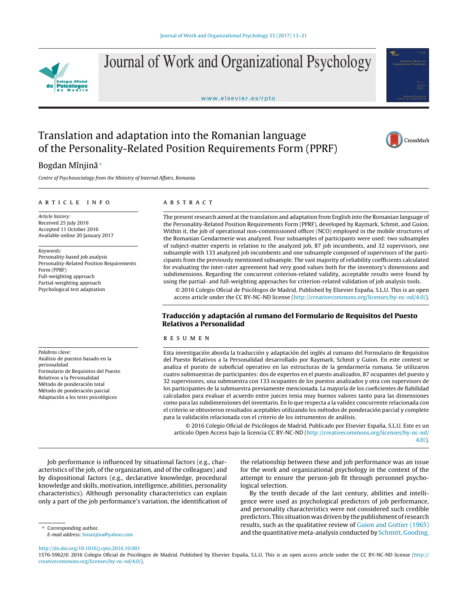

Journal of Work and Organizational Psychology

<www.elsevier.es/rpto>



# Translation and adaptation into the Romanian language of the Personality-Related Position Requirements Form (PPRF)

# CrossMark

# Bogdan Mîniină<sup>∗</sup>

Centre of Psychosociology from the Ministry of Internal Affairs, Romania

#### ARTICLE INFO

Article history: Received 25 July 2016 Accepted 11 October 2016 Available online 20 January 2017

Keywords: Personality-based job analysis Personality-Related Position Requirements Form (PPRF) Full-weighting approach Partial-weighting approach Psychological test adaptation

Palabras clave: Análisis de puestos basado en la personalidad Formulario de Requisitos del Puesto Relativos a la Personalidad Método de ponderación total Método de ponderación parcial Adaptación a los tests psicológicos

# a b s t r a c t

The present research aimed atthe translation and adaptation from English into the Romanian language of the Personality-Related Position Requirements Form (PPRF), developed by Raymark, Schmit, and Guion. Within it, the job of operational non-commissioned officer (NCO) employed in the mobile structures of the Romanian Gendarmerie was analyzed. Four subsamples of participants were used: two subsamples of subject-matter experts in relation to the analyzed job, 87 job incumbents, and 32 supervisors, one subsample with 133 analyzed job incumbents and one subsample composed of supervisors of the participants from the previously mentioned subsample. The vast majority of reliability coefficients calculated for evaluating the inter-rater agreement had very good values both for the inventory's dimensions and subdimensions. Regarding the concurrent criterion-related validity, acceptable results were found by using the partial- and full-weighting approaches for criterion-related validation of job analysis tools.

© 2016 Colegio Oficial de Psicólogos de Madrid. Published by Elsevier España, S.L.U. This is an open access article under the CC BY-NC-ND license [\(http://creativecommons.org/licenses/by-nc-nd/4.0/](http://creativecommons.org/licenses/by-nc-nd/4.0/)).

# **Traducción y adaptación al rumano del Formulario de Requisitos del Puesto Relativos a Personalidad**

#### r e s u m e n

Esta investigación aborda la traducción y adaptación del inglés al rumano del Formulario de Requisitos del Puesto Relativos a la Personalidad desarrollado por Raymark, Schmit y Guion. En este context se analiza el puesto de suboficial operativo en las estructuras de la gendarmería rumana. Se utilizaron cuatro submuestras de participantes: dos de expertos en el puesto analizados, 87 ocupantes del puesto y 32 supervisores, una submuestra con 133 ocupantes de los puestos analizados y otra con supervisors de los participantes de la submuestra previamente mencionada. La mayoría de los coeficientes de fiabilidad calculados para evaluar el acuerdo entre jueces tenia muy buenos valores tanto para las dimensiones como para las subdimensiones del inventario. En lo que respecta a la validez concurrente relacionada con el criterio se obtuvieron resultados aceptables utilizando los métodos de ponderación parcial y complete para la validación relacionada con el criterio de los intrumentos de análisis.

© 2016 Colegio Oficial de Psicólogos de Madrid. Publicado por Elsevier España, S.L.U. Este es un artículo Open Access bajo la licencia CC BY-NC-ND ([http://creativecommons.org/licenses/by-nc-nd/](http://creativecommons.org/licenses/by-nc-nd/4.0/) [4.0/](http://creativecommons.org/licenses/by-nc-nd/4.0/)).

Job performance is influenced by situational factors (e.g., characteristics of the job, of the organization, and of the colleagues) and by dispositional factors (e.g., declarative knowledge, procedural knowledge and skills, motivation, intelligence, abilities, personality characteristics). Although personality characteristics can explain only a part of the job performance's variation, the identification of

the relationship between these and job performance was an issue for the work and organizational psychology in the context of the attempt to ensure the person-job fit through personnel psychological selection.

By the tenth decade of the last century, abilities and intelligence were used as psychological predictors of job performance, and personality characteristics were not considered such credible predictors. This situation was driven by the publishment of research results, such as the qualitative review of [Guion](#page-8-0) [and](#page-8-0) [Gottier](#page-8-0) [\(1965\)](#page-8-0) and the quantitative meta-analysis conducted by [Schmitt,](#page-8-0) [Gooding,](#page-8-0)

Corresponding author.

E-mail address: [bmanjina@yahoo.com](mailto:bmanjina@yahoo.com)

[http://dx.doi.org/10.1016/j.rpto.2016.10.001](dx.doi.org/10.1016/j.rpto.2016.10.001) 1576-5962/© 2016 Colegio Oficial de Psicólogos de Madrid. Published by Elsevier España, S.L.U. This is an open access article under the CC BY-NC-ND license ([http://](http://creativecommons.org/licenses/by-nc-nd/4.0/) [creativecommons.org/licenses/by-nc-nd/4.0/](http://creativecommons.org/licenses/by-nc-nd/4.0/)).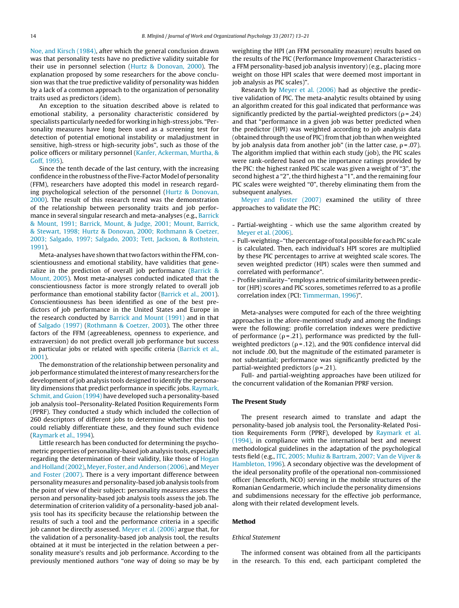[Noe,](#page-8-0) [and](#page-8-0) [Kirsch](#page-8-0) [\(1984\),](#page-8-0) after which the general conclusion drawn was that personality tests have no predictive validity suitable for their use in personnel selection ([Hurtz](#page-8-0) [&](#page-8-0) [Donovan,](#page-8-0) [2000\).](#page-8-0) The explanation proposed by some researchers for the above conclusion was that the true predictive validity of personality was hidden by a lack of a common approach to the organization of personality traits used as predictors (idem).

An exception to the situation described above is related to emotional stability, a personality characteristic considered by specialists particularly needed for working in high-stress jobs. "Personality measures have long been used as a screening test for detection of potential emotional instability or maladjustment in sensitive, high-stress or high-security jobs", such as those of the police officers or military personnel [\(Kanfer,](#page-8-0) [Ackerman,](#page-8-0) [Murtha,](#page-8-0) [&](#page-8-0) [Goff,](#page-8-0) [1995\).](#page-8-0)

Since the tenth decade of the last century, with the increasing confidence in the robustness of the Five-Factor Model of personality (FFM), researchers have adopted this model in research regarding psychological selection of the personnel ([Hurtz](#page-8-0) [&](#page-8-0) [Donovan,](#page-8-0) [2000\).](#page-8-0) The result of this research trend was the demonstration of the relationship between personality traits and job performance in several singular research and meta-analyses (e.g., [Barrick](#page-8-0) [&](#page-8-0) [Mount,](#page-8-0) [1991;](#page-8-0) [Barrick,](#page-8-0) [Mount,](#page-8-0) [&](#page-8-0) [Judge,](#page-8-0) [2001;](#page-8-0) [Mount,](#page-8-0) [Barrick,](#page-8-0) [&](#page-8-0) [Stewart,](#page-8-0) [1998;](#page-8-0) [Hurtz](#page-8-0) [&](#page-8-0) [Donovan,](#page-8-0) [2000;](#page-8-0) [Rothmann](#page-8-0) [&](#page-8-0) [Coetzer,](#page-8-0) [2003;](#page-8-0) [Salgado,](#page-8-0) [1997;](#page-8-0) [Salgado,](#page-8-0) [2003;](#page-8-0) [Tett,](#page-8-0) [Jackson,](#page-8-0) [&](#page-8-0) [Rothstein,](#page-8-0) [1991\).](#page-8-0)

Meta-analyses have shown that two factors within the FFM, conscientiousness and emotional stability, have validities that generalize in the prediction of overall job performance [\(Barrick](#page-8-0) [&](#page-8-0) [Mount,](#page-8-0) [2005\).](#page-8-0) Most meta-analyses conducted indicated that the conscientiousness factor is more strongly related to overall job performance than emotional stability factor [\(Barrick](#page-8-0) et [al.,](#page-8-0) [2001\).](#page-8-0) Conscientiousness has been identified as one of the best predictors of job performance in the United States and Europe in the research conducted by [Barrick](#page-8-0) [and](#page-8-0) [Mount](#page-8-0) [\(1991\)](#page-8-0) and in that of [Salgado](#page-8-0) [\(1997\)](#page-8-0) [\(Rothmann](#page-8-0) [&](#page-8-0) [Coetzer,](#page-8-0) [2003\).](#page-8-0) The other three factors of the FFM (agreeableness, openness to experience, and extraversion) do not predict overall job performance but success in particular jobs or related with specific criteria [\(Barrick](#page-8-0) et [al.,](#page-8-0) [2001\).](#page-8-0)

The demonstration of the relationship between personality and job performance stimulated the interest of many researchers for the development of job analysis tools designed to identify the personality dimensions that predict performance in specific jobs. [Raymark,](#page-8-0) [Schmit,](#page-8-0) [and](#page-8-0) [Guion](#page-8-0) [\(1994\)](#page-8-0) have developed such a personality-based job analysis tool–Personality-Related Position Requirements Form (PPRF). They conducted a study which included the collection of 260 descriptors of different jobs to determine whether this tool could reliably differentiate these, and they found such evidence ([Raymark](#page-8-0) et [al.,](#page-8-0) [1994\).](#page-8-0)

Little research has been conducted for determining the psychometric properties of personality-based job analysis tools, especially regarding the determination of their validity, like those of [Hogan](#page-8-0) [and](#page-8-0) [Holland](#page-8-0) (2002), Meyer, [Foster,](#page-8-0) and Anderson [\(2006\),](#page-8-0) and [Meyer](#page-8-0) [and](#page-8-0) [Foster](#page-8-0) [\(2007\).](#page-8-0) There is a very important difference between personality measures and personality-based job analysis tools from the point of view of their subject: personality measures assess the person and personality-based job analysis tools assess the job. The determination of criterion validity of a personality-based job analysis tool has its specificity because the relationship between the results of such a tool and the performance criteria in a specific job cannot be directly assessed. [Meyer](#page-8-0) et [al.](#page-8-0) [\(2006\)](#page-8-0) argue that, for the validation of a personality-based job analysis tool, the results obtained at it must be interjected in the relation between a personality measure's results and job performance. According to the previously mentioned authors "one way of doing so may be by

weighting the HPI (an FFM personality measure) results based on the results of the PIC (Performance Improvement Characteristics a FFM personality-based job analysis inventory) (e.g., placing more weight on those HPI scales that were deemed most important in job analysis as PIC scales)".

Research by [Meyer](#page-8-0) et [al.](#page-8-0) [\(2006\)](#page-8-0) had as objective the predictive validation of PIC. The meta-analytic results obtained by using an algorithm created for this goal indicated that performance was significantly predicted by the partial-weighted predictors ( $\rho$  = .24) and that "performance in a given job was better predicted when the predictor (HPI) was weighted according to job analysis data (obtained through the use of PIC) from that job than when weighted by job analysis data from another job" (in the latter case,  $\rho$  = .07). The algorithm implied that within each study (job), the PIC scales were rank-ordered based on the importance ratings provided by the PIC: the highest ranked PIC scale was given a weight of "3", the second highest a "2", the third highest a "1", and the remaining four PIC scales were weighted "0", thereby eliminating them from the subsequent analyses.

[Meyer](#page-8-0) [and](#page-8-0) [Foster](#page-8-0) [\(2007\)](#page-8-0) examined the utility of three approaches to validate the PIC:

- Partial-weighting which use the same algorithm created by [Meyer](#page-8-0) et [al.](#page-8-0) [\(2006\).](#page-8-0)
- Full-weighting-"the percentage of total possible for each PIC scale is calculated. Then, each individual's HPI scores are multiplied by these PIC percentages to arrive at weighted scale scores. The seven weighted predictor (HPI) scales were then summed and correlated with performance".
- Profile similarity–"employs a metric of similarity between predictor (HPI) scores and PIC scores, sometimes referred to as a profile correlation index (PCI: [Timmerman,](#page-8-0) [1996\)"](#page-8-0).

Meta-analyses were computed for each of the three weighting approaches in the afore-mentioned study and among the findings were the following: profile correlation indexes were predictive of performance ( $\rho$ =.21), performance was predicted by the fullweighted predictors ( $\rho$ =.12), and the 90% confidence interval did not include .00, but the magnitude of the estimated parameter is not substantial; performance was significantly predicted by the partial-weighted predictors ( $\rho$  = .21).

Full- and partial-weighting approaches have been utilized for the concurrent validation of the Romanian PPRF version.

#### **The Present Study**

The present research aimed to translate and adapt the personality-based job analysis tool, the Personality-Related Position Requirements Form (PPRF), developed by [Raymark](#page-8-0) et [al.](#page-8-0) [\(1994\),](#page-8-0) in compliance with the international best and newest methodological guidelines in the adaptation of the psychological tests field (e.g., [ITC,](#page-8-0) [2005;](#page-8-0) Muñiz [&](#page-8-0) [Bartram,](#page-8-0) [2007;](#page-8-0) [Van](#page-8-0) [de](#page-8-0) [Vijver](#page-8-0) & [Hambleton,](#page-8-0) [1996\).](#page-8-0) A secondary objective was the development of the ideal personality profile of the operational non-commissioned officer (henceforth, NCO) serving in the mobile structures of the Romanian Gendarmerie, which include the personality dimensions and subdimensions necessary for the effective job performance, along with their related development levels.

#### **Method**

#### Ethical Statement

The informed consent was obtained from all the participants in the research. To this end, each participant completed the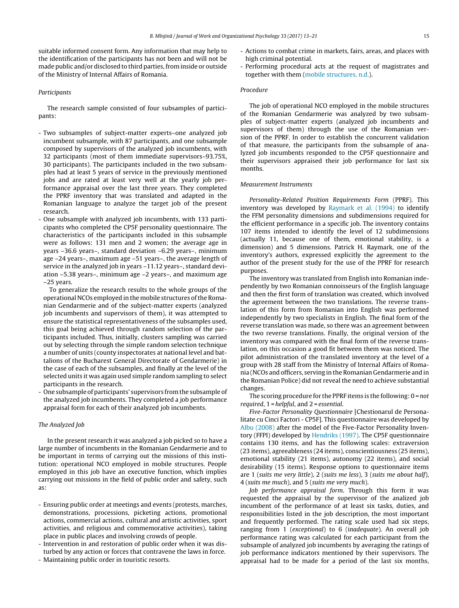suitable informed consent form. Any information that may help to the identification of the participants has not been and will not be made public and/or disclosed to third parties, from inside or outside of the Ministry of Internal Affairs of Romania.

#### Participants

The research sample consisted of four subsamples of participants:

- Two subsamples of subject-matter experts–one analyzed job incumbent subsample, with 87 participants, and one subsample composed by supervisors of the analyzed job incumbents, with 32 participants (most of them immediate supervisors–93.75%, 30 participants). The participants included in the two subsamples had at least 5 years of service in the previously mentioned jobs and are rated at least very well at the yearly job performance appraisal over the last three years. They completed the PPRF inventory that was translated and adapted in the Romanian language to analyze the target job of the present research.
- One subsample with analyzed job incumbents, with 133 participants who completed the CP5F personality questionnaire. The characteristics of the participants included in this subsample were as follows: 131 men and 2 women; the average age in years –36.6 years–, standard deviation –6.29 years–, minimum age –24 years–, maximum age –51 years–, the average length of service in the analyzed job in years –11.12 years–, standard deviation –5.38 years–, minimum age –2 years–, and maximum age –25 years.

To generalize the research results to the whole groups of the operational NCOs employed in the mobile structures of the Romanian Gendarmerie and of the subject-matter experts (analyzed job incumbents and supervisors of them), it was attempted to ensure the statistical representativeness of the subsamples used, this goal being achieved through random selection of the participants included. Thus, initially, clusters sampling was carried out by selecting through the simple random selection technique a number of units (county inspectorates at national level and battalions of the Bucharest General Directorate of Gendarmerie) in the case of each of the subsamples, and finally at the level of the selected units it was again used simple random sampling to select participants in the research.

- One subsample of participants' supervisors fromthe subsample of the analyzed job incumbents. They completed a job performance appraisal form for each of their analyzed job incumbents.

#### The Analyzed Job

In the present research it was analyzed a job picked so to have a large number of incumbents in the Romanian Gendarmerie and to be important in terms of carrying out the missions of this institution: operational NCO employed in mobile structures. People employed in this job have an executive function, which implies carrying out missions in the field of public order and safety, such as:

- Ensuring public order at meetings and events (protests, marches, demonstrations, processions, picketing actions, promotional actions, commercial actions, cultural and artistic activities, sport activities, and religious and commemorative activities), taking place in public places and involving crowds of people.
- Intervention in and restoration of public order when it was disturbed by any action or forces that contravene the laws in force.
- Maintaining public order in touristic resorts.
- Actions to combat crime in markets, fairs, areas, and places with high criminal potential.
- Performing procedural acts at the request of magistrates and together with them ([mobile](#page-8-0) [structures,](#page-8-0) [n.d.\).](#page-8-0)

### Procedure

The job of operational NCO employed in the mobile structures of the Romanian Gendarmerie was analyzed by two subsamples of subject-matter experts (analyzed job incumbents and supervisors of them) through the use of the Romanian version of the PPRF. In order to establish the concurrent validation of that measure, the participants from the subsample of analyzed job incumbents responded to the CP5F questionnaire and their supervisors appraised their job performance for last six months.

#### Measurement Instruments

Personality-Related Position Requirements Form (PPRF). This inventory was developed by [Raymark](#page-8-0) et [al.](#page-8-0) [\(1994\)](#page-8-0) to identify the FFM personality dimensions and subdimensions required for the efficient performance in a specific job. The inventory contains 107 items intended to identify the level of 12 subdimensions (actually 11, because one of them, emotional stability, is a dimension) and 5 dimensions. Patrick H. Raymark, one of the inventory's authors, expressed explicitly the agreement to the author of the present study for the use of the PPRF for research purposes.

The inventory was translated from English into Romanian independently by two Romanian connoisseurs of the English language and then the first form of translation was created, which involved the agreement between the two translations. The reverse translation of this form from Romanian into English was performed independently by two specialists in English. The final form of the reverse translation was made, so there was an agreement between the two reverse translations. Finally, the original version of the inventory was compared with the final form of the reverse translation, on this occasion a good fit between them was noticed. The pilot administration of the translated inventory at the level of a group with 28 staff from the Ministry of Internal Affairs of Romania (NCOs and officers, serving in the Romanian Gendarmerie and in the Romanian Police) did not reveal the need to achieve substantial changes.

The scoring procedure for the PPRF items is the following:  $0 = not$ required,  $1$  = helpful, and  $2$  = essential.

Five-Factor Personality Questionnaire [Chestionarul de Personalitate cu Cinci Factori - CP5F]. This questionnaire was developed by [Albu](#page-8-0) [\(2008\)](#page-8-0) after the model of the Five-Factor Personality Inventory (FFPI) developed by [Hendriks](#page-8-0) [\(1997\).](#page-8-0) The CP5F questionnaire contains 130 items, and has the following scales: extraversion (23 items), agreeableness (24 items), conscientiousness (25 items), emotional stability (21 items), autonomy (22 items), and social desirability (15 items). Response options to questionnaire items are 1 (suits me very little), 2 (suits me less), 3 (suits me about half), 4 (suits me much), and 5 (suits me very much).

Job performance appraisal form. Through this form it was requested the appraisal by the supervisor of the analized job incumbent of the performance of at least six tasks, duties, and responsibilities listed in the job description, the most important and frequently performed. The rating scale used had six steps, ranging from 1 (exceptional) to 6 (inadequate). An overall job performance rating was calculated for each participant from the subsample of analyzed job incumbents by averaging the ratings of job performance indicators mentioned by their supervisors. The appraisal had to be made for a period of the last six months,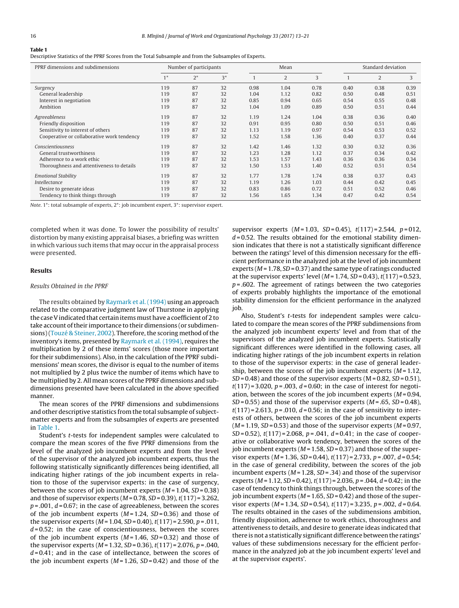# **Table 1**

Descriptive Statistics of the PPRF Scores from the Total Subsample and from the Subsamples of Experts.

| PPRF dimensions and subdimensions          |      | Number of participants |      | Mean |      | Standard deviation |      |      |      |
|--------------------------------------------|------|------------------------|------|------|------|--------------------|------|------|------|
|                                            | $1*$ | $2^*$                  | $3*$ |      | 2    | 3                  |      | 2    | 3    |
| Surgency                                   | 119  | 87                     | 32   | 0.98 | 1.04 | 0.78               | 0.40 | 0.38 | 0.39 |
| General leadership                         | 119  | 87                     | 32   | 1.04 | 1.12 | 0.82               | 0.50 | 0.48 | 0.51 |
| Interest in negotiation                    | 119  | 87                     | 32   | 0.85 | 0.94 | 0.65               | 0.54 | 0.55 | 0.48 |
| Ambition                                   | 119  | 87                     | 32   | 1.04 | 1.09 | 0.89               | 0.50 | 0.51 | 0.44 |
| Agreeableness                              | 119  | 87                     | 32   | 1.19 | 1.24 | 1.04               | 0.38 | 0.36 | 0.40 |
| Friendly disposition                       | 119  | 87                     | 32   | 0.91 | 0.95 | 0.80               | 0.50 | 0.51 | 0.46 |
| Sensitivity to interest of others          | 119  | 87                     | 32   | 1.13 | 1.19 | 0.97               | 0.54 | 0.53 | 0.52 |
| Cooperative or collaborative work tendency | 119  | 87                     | 32   | 1.52 | 1.58 | 1.36               | 0.40 | 0.37 | 0.44 |
| Conscientiousness                          | 119  | 87                     | 32   | 1.42 | 1.46 | 1.32               | 0.30 | 0.32 | 0.36 |
| General trustworthiness                    | 119  | 87                     | 32   | 1.23 | 1.28 | 1.12               | 0.37 | 0.34 | 0.42 |
| Adherence to a work ethic                  | 119  | 87                     | 32   | 1.53 | 1.57 | 1.43               | 0.36 | 0.36 | 0.34 |
| Thoroughness and attentiveness to details  | 119  | 87                     | 32   | 1.50 | 1.53 | 1.40               | 0.52 | 0.51 | 0.54 |
| <b>Emotional Stability</b>                 | 119  | 87                     | 32   | 1.77 | 1.78 | 1.74               | 0.38 | 0.37 | 0.43 |
| Intellectance                              | 119  | 87                     | 32   | 1.19 | 1.26 | 1.03               | 0.44 | 0.42 | 0.45 |
| Desire to generate ideas                   | 119  | 87                     | 32   | 0.83 | 0.86 | 0.72               | 0.51 | 0.52 | 0.46 |
| Tendency to think things through           | 119  | 87                     | 32   | 1.56 | 1.65 | 1.34               | 0.47 | 0.42 | 0.54 |

Note. 1\*: total subsample of experts, 2\*: job incumbent expert, 3\*: supervisor expert.

completed when it was done. To lower the possibility of results' distortion by many existing appraisal biases, a briefing was written in which various such items that may occur in the appraisal process were presented.

#### **Results**

#### Results Obtained in the PPRF

The results obtained by [Raymark](#page-8-0) et [al.](#page-8-0) [\(1994\)](#page-8-0) using an approach related to the comparative judgment law of Thurstone in applying the case V indicated that certain items must have a coefficient of 2 to take account of their importance to their dimensions (or subdimen-sions)[\(Touzé](#page-8-0) [&](#page-8-0) [Steiner,](#page-8-0) [2002\).](#page-8-0) Therefore, the scoring method of the inventory's items, presented by [Raymark](#page-8-0) et [al.](#page-8-0) [\(1994\),](#page-8-0) requires the multiplication by 2 of these items' scores (those more important for their subdimensions). Also, in the calculation of the PPRF subdimensions' mean scores, the divisor is equal to the number of items not multiplied by 2 plus twice the number of items which have to be multiplied by 2. All mean scores of the PPRF dimensions and subdimensions presented have been calculated in the above specified manner.

The mean scores of the PPRF dimensions and subdimensions and other descriptive statistics from the total subsample of subjectmatter experts and from the subsamples of experts are presented in Table 1.

Student's t-tests for independent samples were calculated to compare the mean scores of the five PPRF dimensions from the level of the analyzed job incumbent experts and from the level of the supervisor of the analyzed job incumbent experts, thus the following statistically significantly differences being identified, all indicating higher ratings of the job incumbent experts in relation to those of the supervisor experts: in the case of surgency, between the scores of job incumbent experts  $(M = 1.04, SD = 0.38)$ and those of supervisor experts ( $M = 0.78$ ,  $SD = 0.39$ ),  $t(117) = 3.262$ ,  $p = .001$ ,  $d = 0.67$ ; in the case of agreeableness, between the scores of the job incumbent experts  $(M=1.24, SD=0.36)$  and those of the supervisor experts ( $M = 1.04$ ,  $SD = 0.40$ ),  $t(117) = 2.590$ ,  $p = .011$ ,  $d = 0.52$ ; in the case of conscientiousness, between the scores of the job incumbent experts  $(M = 1.46, SD = 0.32)$  and those of the supervisor experts ( $M = 1.32$ ,  $SD = 0.36$ ),  $t(117) = 2.076$ ,  $p = .040$ ,  $d = 0.41$ ; and in the case of intellectance, between the scores of the job incumbent experts ( $M = 1.26$ ,  $SD = 0.42$ ) and those of the

supervisor experts  $(M = 1.03, SD = 0.45)$ ,  $t(117) = 2.544, p = 012$ ,  $d = 0.52$ . The results obtained for the emotional stability dimension indicates that there is not a statistically significant difference between the ratings' level of this dimension necessary for the efficient performance in the analyzed job at the level of job incumbent experts ( $M = 1.78$ ,  $SD = 0.37$ ) and the same type of ratings conducted at the supervisor experts' level ( $M = 1.74$ ,  $SD = 0.43$ ),  $t(117) = 0.523$ ,  $p = .602$ . The agreement of ratings between the two categories of experts probably highlights the importance of the emotional stability dimension for the efficient performance in the analyzed job.

Also, Student's t-tests for independent samples were calculated to compare the mean scores of the PPRF subdimensions from the analyzed job incumbent experts' level and from that of the supervisors of the analyzed job incumbent experts. Statistically significant differences were identified in the following cases, all indicating higher ratings of the job incumbent experts in relation to those of the supervisor experts: in the case of general leadership, between the scores of the job incumbent experts  $(M = 1.12)$ ,  $SD = 0.48$ ) and those of the supervisor experts (M = 0.82,  $SD = 0.51$ ),  $t(117) = 3.020$ ,  $p = .003$ ,  $d = 0.60$ ; in the case of interest for negotiation, between the scores of the job incumbent experts  $(M=0.94,$  $SD = 0.55$ ) and those of the supervisor experts ( $M = .65$ ,  $SD = 0.48$ ),  $t(117) = 2.613$ ,  $p = .010$ ,  $d = 0.56$ ; in the case of sensitivity to interests of others, between the scores of the job incumbent experts  $(M = 1.19, SD = 0.53)$  and those of the supervisor experts  $(M = 0.97,$  $SD = 0.52$ ),  $t(117) = 2.068$ ,  $p = .041$ ,  $d = 0.41$ ; in the case of cooperative or collaborative work tendency, between the scores of the job incumbent experts ( $M = 1.58$ ,  $SD = 0.37$ ) and those of the supervisor experts ( $M = 1.36$ ,  $SD = 0.44$ ),  $t(117) = 2.733$ ,  $p = .007$ ,  $d = 0.54$ ; in the case of general credibility, between the scores of the job incumbent experts ( $M = 1.28$ ,  $SD = .34$ ) and those of the supervisor experts ( $M = 1.12$ ,  $SD = 0.42$ ),  $t(117) = 2.036$ ,  $p = .044$ ,  $d = 0.42$ ; in the case of tendency to think things through, between the scores of the job incumbent experts ( $M = 1.65$ ,  $SD = 0.42$ ) and those of the supervisor experts ( $M = 1.34$ ,  $SD = 0.54$ ),  $t(117) = 3.235$ ,  $p = .002$ ,  $d = 0.64$ . The results obtained in the cases of the subdimensions ambition, friendly disposition, adherence to work ethics, thoroughness and attentiveness to details, and desire to generate ideas indicated that there is not a statistically significant difference between the ratings' values of these subdimensions necessary for the efficient performance in the analyzed job at the job incumbent experts' level and at the supervisor experts'.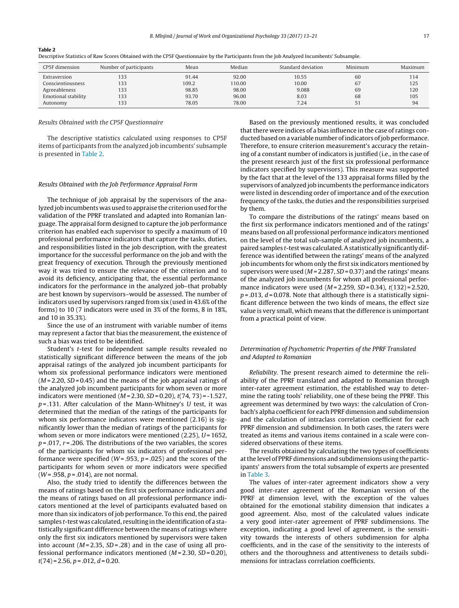Autonomy 133 78.05 78.00 7.24 51 94

| escriptive Statistics of Raw Scores Obtained with the CP5F Questionnaire by the Participants from the Job Analyzed Incumbents' Subsample. |                        |       |        |                    |         |         |
|-------------------------------------------------------------------------------------------------------------------------------------------|------------------------|-------|--------|--------------------|---------|---------|
| CP5F dimension                                                                                                                            | Number of participants | Mean  | Median | Standard deviation | Minimum | Maximum |
| Extraversion                                                                                                                              | 133                    | 91.44 | 92.00  | 10.55              | 60      | 114     |
| Conscientiousness                                                                                                                         | 133                    | 109.2 | 110.00 | 10.00              | 67      | 125     |
| Agreeableness                                                                                                                             | 133                    | 98.85 | 98.00  | 9.088              | 69      | 120     |
| Emotional stability                                                                                                                       | 133                    | 93.70 | 96.00  | 8.03               | 68      | 105     |

#### **Table 2**

#### Results Obtained with the CP5F Questionnaire

The descriptive statistics calculated using responses to CP5F items of participants from the analyzed job incumbents' subsample is presented in Table 2.

#### Results Obtained with the Job Performance Appraisal Form

The technique of job appraisal by the supervisors of the analyzed job incumbents was used to appraise the criterion used for the validation of the PPRF translated and adapted into Romanian language. The appraisal form designed to capture the job performance criterion has enabled each supervisor to specify a maximum of 10 professional performance indicators that capture the tasks, duties, and responsibilities listed in the job description, with the greatest importance for the successful performance on the job and with the great frequency of execution. Through the previously mentioned way it was tried to ensure the relevance of the criterion and to avoid its deficiency, anticipating that, the essential performance indicators for the performance in the analyzed job–that probably are best known by supervisors–would be assessed. The number of indicators used by supervisors ranged from six (used in 43.6% of the forms) to 10 (7 indicators were used in 3% of the forms, 8 in 18%, and 10 in 35.3%).

Since the use of an instrument with variable number of items may represent a factor that bias the measurement, the existence of such a bias was tried to be identified.

Student's t-test for independent sample results revealed no statistically significant difference between the means of the job appraisal ratings of the analyzed job incumbent participants for whom six professional performance indicators were mentioned  $(M = 2.20, SD = 0.45)$  and the means of the job appraisal ratings of the analyzed job incumbent participants for whom seven or more indicators were mentioned ( $M = 2.30$ ,  $SD = 0.20$ ),  $t(74, 73) = -1.527$ ,  $p = .131$ . After calculation of the Mann-Whitney's U test, it was determined that the median of the ratings of the participants for whom six performance indicators were mentioned (2.16) is significantly lower than the median of ratings of the participants for whom seven or more indicators were mentioned  $(2.25)$ ,  $U = 1652$ ,  $p = 0.017$ ,  $r = 0.206$ . The distributions of the two variables, the scores of the participants for whom six indicators of professional performance were specified ( $W = .953$ ,  $p = .025$ ) and the scores of the participants for whom seven or more indicators were specified  $(W = .958, p = .014)$ , are not normal.

Also, the study tried to identify the differences between the means of ratings based on the first six performance indicators and the means of ratings based on all professional performance indicators mentioned at the level of participants evaluated based on more than six indicators of job performance. To this end, the paired samples t-test was calculated, resulting in the identification of a statistically significant difference between the means of ratings where only the first six indicators mentioned by supervisors were taken into account ( $M = 2.35$ ,  $SD = .28$ ) and in the case of using all professional performance indicators mentioned  $(M=2.30, SD=0.20)$ ,  $t(74) = 2.56$ ,  $p = .012$ ,  $d = 0.20$ .

Based on the previously mentioned results, it was concluded that there were indices of a bias influence in the case of ratings conducted based on a variable number of indicators of job performance. Therefore, to ensure criterion measurement's accuracy the retaining of a constant number of indicators is justified (i.e., in the case of the present research just of the first six professional performance indicators specified by supervisors). This measure was supported by the fact that at the level of the 133 appraisal forms filled by the supervisors of analyzed job incumbents the performance indicators were listed in descending order of importance and of the execution frequency of the tasks, the duties and the responsibilities surprised by them.

To compare the distributions of the ratings' means based on the first six performance indicators mentioned and of the ratings' means based on all professional performance indicators mentioned on the level of the total sub-sample of analyzed job incumbents, a paired samples t-test was calculated.Astatistically significantly difference was identified between the ratings' means of the analyzed job incumbents for whom only the first six indicators mentioned by supervisors were used ( $M = 2.287$ ,  $SD = 0.37$ ) and the ratings' means of the analyzed job incumbents for whom all professional performance indicators were used  $(M = 2.259, SD = 0.34)$ ,  $t(132) = 2.520$ ,  $p = 0.013$ ,  $d = 0.078$ . Note that although there is a statistically significant difference between the two kinds of means, the effect size value is very small, which means that the difference is unimportant from a practical point of view.

## Determination of Psychometric Properties of the PPRF Translated and Adapted to Romanian

Reliability. The present research aimed to determine the reliability of the PPRF translated and adapted to Romanian through inter-rater agreement estimation, the established way to determine the rating tools' reliability, one of these being the PPRF. This agreement was determined by two ways: the calculation of Cronbach's alpha coefficient for each PPRF dimension and subdimension and the calculation of intraclass correlation coefficient for each PPRF dimension and subdimension. In both cases, the raters were treated as items and various items contained in a scale were considered observations of these items.

The results obtained by calculating the two types of coefficients atthe level of PPRF dimensions and subdimensions using the participants' answers from the total subsample of experts are presented in [Table](#page-5-0) 3.

The values of inter-rater agreement indicators show a very good inter-rater agreement of the Romanian version of the PPRF at dimension level, with the exception of the values obtained for the emotional stability dimension that indicates a good agreement. Also, most of the calculated values indicate a very good inter-rater agreement of PPRF subdimensions. The exception, indicating a good level of agreement, is the sensitivity towards the interests of others subdimension for alpha coefficients, and in the case of the sensitivity to the interests of others and the thoroughness and attentiveness to details subdimensions for intraclass correlation coefficients.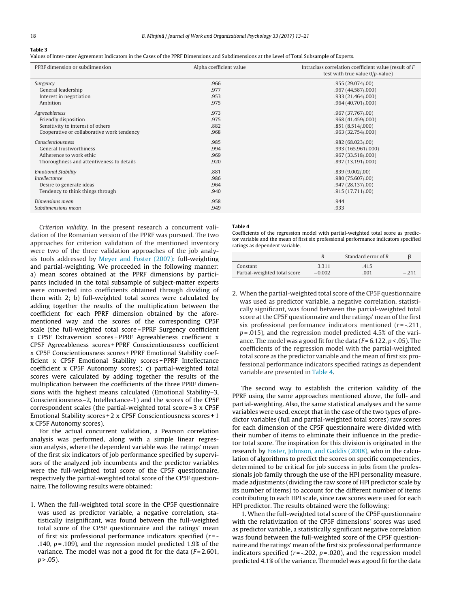<span id="page-5-0"></span>**Table 3**

Values of Inter-rater Agreement Indicators in the Cases of the PPRF Dimensions and Subdimensions at the Level of Total Subsample of Experts.

| PPRF dimension or subdimension             | Alpha coefficient value | Intraclass correlation coefficient value (result of F<br>test with true value $0/p$ -value) |
|--------------------------------------------|-------------------------|---------------------------------------------------------------------------------------------|
| Surgency                                   | .966                    | .955 (29.074/.00)                                                                           |
| General leadership                         | .977                    | .967 (44.587/.000)                                                                          |
| Interest in negotiation                    | .953                    | .933(21.464/000)                                                                            |
| Ambition                                   | .975                    | .964(40.701/000)                                                                            |
| Agreeableness                              | .973                    | .967 (37.767/.00)                                                                           |
| Friendly disposition                       | .975                    | .968 (41.459/.000)                                                                          |
| Sensitivity to interest of others          | .882                    | .851 (8.514/.000)                                                                           |
| Cooperative or collaborative work tendency | .968                    | .963 (32.754/.000)                                                                          |
| Conscientiousness                          | .985                    | .982(68.023/00)                                                                             |
| <b>General trustworthiness</b>             | .994                    | .993 (165.961/.000)                                                                         |
| Adherence to work ethic                    | .969                    | .967 (33.518/.000)                                                                          |
| Thoroughness and attentiveness to details  | .920                    | .897 (13.191/.000)                                                                          |
| <b>Emotional Stability</b>                 | .881                    | .839(9.002/00)                                                                              |
| <i>Intellectance</i>                       | .986                    | .980 (75.607/.00)                                                                           |
| Desire to generate ideas                   | .964                    | .947(28.137/00)                                                                             |
| Tendency to think things through           | .940                    | .915(17.711/00)                                                                             |
| Dimensions mean                            | .958                    | .944                                                                                        |
| Subdimensions mean                         | .949                    | .933                                                                                        |

Criterion validity. In the present research a concurrent validation of the Romanian version of the PPRF was pursued. The two approaches for criterion validation of the mentioned inventory were two of the three validation approaches of the job analysis tools addressed by [Meyer](#page-8-0) [and](#page-8-0) [Foster](#page-8-0) [\(2007\):](#page-8-0) full-weighting and partial-weighting. We proceeded in the following manner: a) mean scores obtained at the PPRF dimensions by participants included in the total subsample of subject-matter experts were converted into coefficients obtained through dividing of them with 2; b) full-weighted total scores were calculated by adding together the results of the multiplication between the coefficient for each PPRF dimension obtained by the aforementioned way and the scores of the corresponding CP5F scale (the full-weighted total score = PPRF Surgency coefficient x CP5F Extraversion scores + PPRF Agreeableness coefficient x CP5F Agreeableness scores + PPRF Conscientiousness coefficient x CP5F Conscientiousness scores + PPRF Emotional Stability coefficient x CP5F Emotional Stability scores + PPRF Intellectance coefficient x CP5F Autonomy scores); c) partial-weighted total scores were calculated by adding together the results of the multiplication between the coefficients of the three PPRF dimensions with the highest means calculated (Emotional Stability–3, Conscientiousness–2, Intellectance-1) and the scores of the CP5F correspondent scales (the partial-weighted total score = 3 x CP5F Emotional Stability scores + 2 x CP5F Conscientiousness scores + 1 x CP5F Autonomy scores).

For the actual concurrent validation, a Pearson correlation analysis was performed, along with a simple linear regression analysis, where the dependent variable was the ratings' mean of the first six indicators of job performance specified by supervisors of the analyzed job incumbents and the predictor variables were the full-weighted total score of the CP5F questionnaire, respectively the partial-weighted total score of the CP5F questionnaire. The following results were obtained:

1. When the full-weighted total score in the CP5F questionnaire was used as predictor variable, a negative correlation, statistically insignificant, was found between the full-weighted total score of the CP5F questionnaire and the ratings' mean of first six professional performance indicators specified  $(r = -1)$ .140,  $p = .109$ ), and the regression model predicted 1.9% of the variance. The model was not a good fit for the data  $(F=2.601,$  $p > .05$ ).

#### **Table 4**

Coefficients of the regression model with partial-weighted total score as predictor variable and the mean of first six professional performance indicators specified ratings as dependent variable.

|                              |          | Standard error of $B$ |  |
|------------------------------|----------|-----------------------|--|
| Constant                     | 3.311    | .415                  |  |
| Partial-weighted total score | $-0.002$ | .001                  |  |

2. When the partial-weighted total score of the CP5F questionnaire was used as predictor variable, a negative correlation, statistically significant, was found between the partial-weighted total score at the CP5F questionnaire and the ratings' mean of the first six professional performance indicators mentioned  $(r = -0.211,$  $p = 0.015$ ), and the regression model predicted 4.5% of the variance. The model was a good fit for the data ( $F = 6.122$ ,  $p < .05$ ). The coefficients of the regression model with the partial-weighted total score as the predictor variable and the mean of first six professional performance indicators specified ratings as dependent variable are presented in Table 4.

The second way to establish the criterion validity of the PPRF using the same approaches mentioned above, the full- and partial-weighting. Also, the same statistical analyses and the same variables were used, except that in the case of the two types of predictor variables (full and partial-weighted total scores) raw scores for each dimension of the CP5F questionnaire were divided with their number of items to eliminate their influence in the predictor total score. The inspiration for this division is originated in the research by [Foster,](#page-8-0) [Johnson,](#page-8-0) [and](#page-8-0) [Gaddis](#page-8-0) [\(2008\),](#page-8-0) who in the calculation of algorithms to predict the scores on specific competencies, determined to be critical for job success in jobs from the professionals job family through the use of the HPI personality measure, made adjustments (dividing the raw score of HPI predictor scale by its number of items) to account for the different number of items contributing to each HPI scale, since raw scores were used for each HPI predictor. The results obtained were the following:

1. When the full-weighted total score of the CP5F questionnaire with the relativization of the CP5F dimensions' scores was used as predictor variable, a statistically significant negative correlation was found between the full-weighted score of the CP5F questionnaire and the ratings' mean ofthe first six professional performance indicators specified ( $r = -202$ ,  $p = 020$ ), and the regression model predicted 4.1% of the variance. The model was a good fit for the data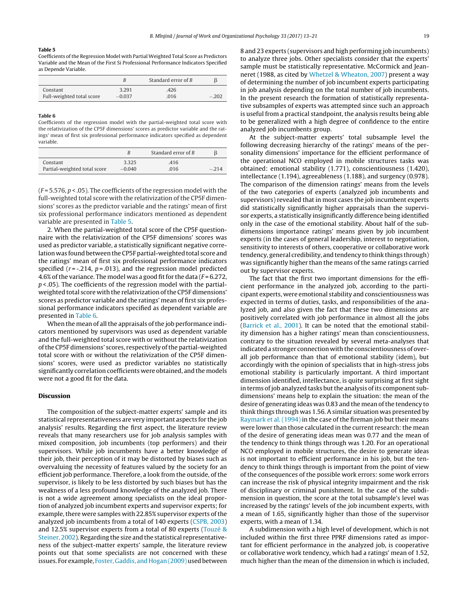#### **Table 5**

Coefficients of the Regression Model with Partial Weighted Total Score as Predictors Variable and the Mean of the First Si Professional Performance Indicators Specified as Depende Variable.

|                           | B        | Standard error of $B$ |         |
|---------------------------|----------|-----------------------|---------|
| Constant                  | 3.291    | .426                  |         |
| Full-weighted total score | $-0.037$ | .016                  | $-.202$ |

#### **Table 6**

Coefficients of the regression model with the partial-weighted total score with the relativization of the CP5F dimensions' scores as predictor variable and the ratings' mean of first six professional performance indicators specified as dependent variable.

|                              |          | Standard error of $B$ |        |
|------------------------------|----------|-----------------------|--------|
| Constant                     | 3.325    | .416                  |        |
| Partial-weighted total score | $-0.040$ | .016                  | $-214$ |

 $(F = 5.576, p < .05)$ . The coefficients of the regression model with the full-weighted total score with the relativization of the CP5F dimensions' scores as the predictor variable and the ratings' mean of first six professional performance indicators mentioned as dependent variable are presented in Table 5.

2. When the partial-weighted total score of the CP5F questionnaire with the relativization of the CP5F dimensions' scores was used as predictor variable, a statistically significant negative correlation was found between the CP5F partial-weighted total score and the ratings' mean of first six professional performance indicators specified ( $r = -0.214$ ,  $p = 0.013$ ), and the regression model predicted 4.6% of the variance. The model was a good fit for the data ( $F = 6.272$ ,  $p$  < .05). The coefficients of the regression model with the partialweighted total score with the relativization of the CP5F dimensions' scores as predictor variable and the ratings' mean of first six professional performance indicators specified as dependent variable are presented in Table 6.

When the mean of all the appraisals of the job performance indicators mentioned by supervisors was used as dependent variable and the full-weighted total score with or without the relativization ofthe CP5F dimensions' scores, respectively ofthe partial-weighted total score with or without the relativization of the CP5F dimensions' scores, were used as predictor variables no statistically significantly correlation coefficients were obtained, and the models were not a good fit for the data.

#### **Discussion**

The composition of the subject-matter experts' sample and its statistical representativeness are very important aspects for the job analysis' results. Regarding the first aspect, the literature review reveals that many researchers use for job analysis samples with mixed composition, job incumbents (top performers) and their supervisors. While job incumbents have a better knowledge of their job, their perception of it may be distorted by biases such as overvaluing the necessity of features valued by the society for an efficient job performance. Therefore, a look from the outside, of the supervisor, is likely to be less distorted by such biases but has the weakness of a less profound knowledge of the analyzed job. There is not a wide agreement among specialists on the ideal proportion of analyzed job incumbent experts and supervisor experts; for example, there were samples with 22.85% supervisor experts of the analyzed job incumbents from a total of 140 experts ([CSPB,](#page-8-0) [2003\)](#page-8-0) and 12.5% supervisor experts from a total of 80 experts [\(Touzé](#page-8-0) [&](#page-8-0) [Steiner,](#page-8-0) [2002\).](#page-8-0) Regarding the size and the statistical representativeness of the subject-matter experts' sample, the literature review points out that some specialists are not concerned with these issues. For example, [Foster,](#page-8-0) [Gaddis,](#page-8-0) and Hogan (2009) used between

8 and 23 experts (supervisors and high performing job incumbents) to analyze three jobs. Other specialists consider that the experts' sample must be statistically representative. McCormick and Jeanneret (1988, as cited by [Whetzel](#page-8-0) [&](#page-8-0) [Wheaton,](#page-8-0) [2007\)](#page-8-0) present a way of determining the number of job incumbent experts participating in job analysis depending on the total number of job incumbents. In the present research the formation of statistically representative subsamples of experts was attempted since such an approach is useful from a practical standpoint, the analysis results being able to be generalized with a high degree of confidence to the entire analyzed job incumbents group.

At the subject-matter experts' total subsample level the following decreasing hierarchy of the ratings' means of the personality dimensions' importance for the efficient performance of the operational NCO employed in mobile structures tasks was obtained: emotional stability (1.771), conscientiousness (1.420), intellectance (1.194), agreeableness (1.188), and surgency (0.978). The comparison of the dimension ratings' means from the levels of the two categories of experts (analyzed job incumbents and supervisors) revealed that in most cases the job incumbent experts did statistically significantly higher appraisals than the supervisor experts, a statistically insignificantly difference being identified only in the case of the emotional stability. About half of the subdimensions importance ratings' means given by job incumbent experts (in the cases of general leadership, interest to negotiation, sensitivity to interests of others, cooperative or collaborative work tendency, general credibility, and tendency to think things through) was significantly higher than the means of the same ratings carried out by supervisor experts.

The fact that the first two important dimensions for the efficient performance in the analyzed job, according to the participant experts, were emotional stability and conscientiousness was expected in terms of duties, tasks, and responsibilities of the analyzed job, and also given the fact that these two dimensions are positively correlated with job performance in almost all the jobs [\(Barrick](#page-8-0) et [al.,](#page-8-0) [2001\).](#page-8-0) It can be noted that the emotional stability dimension has a higher ratings' mean than conscientiousness, contrary to the situation revealed by several meta-analyses that indicated a stronger connection with the conscientiousness of overall job performance than that of emotional stability (idem), but accordingly with the opinion of specialists that in high-stress jobs emotional stability is particularly important. A third important dimension identified, intellectance, is quite surprising at first sight in terms of job analyzed tasks but the analysis of its component subdimensions' means help to explain the situation: the mean of the desire of generating ideas was 0.83 and the mean of the tendency to think things through was 1.56. A similar situation was presented by [Raymark](#page-8-0) et [al.](#page-8-0) [\(1994\)](#page-8-0) in the case of the fireman job but their means were lower than those calculated in the current research: the mean of the desire of generating ideas mean was 0.77 and the mean of the tendency to think things through was 1.20. For an operational NCO employed in mobile structures, the desire to generate ideas is not important to efficient performance in his job, but the tendency to think things through is important from the point of view of the consequences of the possible work errors: some work errors can increase the risk of physical integrity impairment and the risk of disciplinary or criminal punishment. In the case of the subdimension in question, the score at the total subsample's level was increased by the ratings' levels of the job incumbent experts, with a mean of 1.65, significantly higher than those of the supervisor experts, with a mean of 1.34.

A subdimension with a high level of development, which is not included within the first three PPRF dimensions rated as important for efficient performance in the analyzed job, is cooperative or collaborative work tendency, which had a ratings' mean of 1.52, much higher than the mean of the dimension in which is included,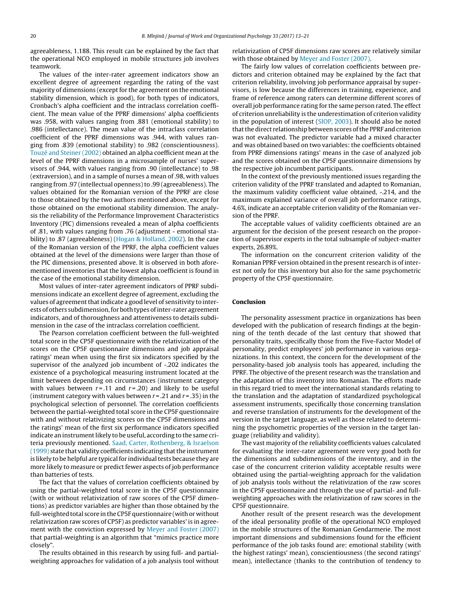agreeableness, 1.188. This result can be explained by the fact that the operational NCO employed in mobile structures job involves teamwork.

The values of the inter-rater agreement indicators show an excellent degree of agreement regarding the rating of the vast majority of dimensions (except for the agreement on the emotional stability dimension, which is good), for both types of indicators, Cronbach's alpha coefficient and the intraclass correlation coefficient. The mean value of the PPRF dimensions' alpha coefficients was .958, with values ranging from .881 (emotional stability) to .986 (intellectance). The mean value of the intraclass correlation coefficient of the PPRF dimensions was .944, with values ranging from .839 (emotional stability) to .982 (conscientiousness). [Touzé](#page-8-0) [and](#page-8-0) [Steiner](#page-8-0) [\(2002\)](#page-8-0) obtained an alpha coefficient mean at the level of the PPRF dimensions in a microsample of nurses' supervisors of .944, with values ranging from .90 (intellectance) to .98 (extraversion), and in a sample of nurses a mean of .98, with values ranging from .97 (intellectual openness) to .99 (agreeableness). The values obtained for the Romanian version of the PPRF are close to those obtained by the two authors mentioned above, except for those obtained on the emotional stability dimension. The analysis the reliability of the Performance Improvement Characteristics Inventory (PIC) dimensions revealed a mean of alpha coefficients of .81, with values ranging from .76 (adjustment - emotional stability) to .87 (agreeableness) [\(Hogan](#page-8-0) [&](#page-8-0) [Holland,](#page-8-0) [2002\).](#page-8-0) In the case of the Romanian version of the PPRF, the alpha coefficient values obtained at the level of the dimensions were larger than those of the PIC dimensions, presented above. It is observed in both aforementioned inventories that the lowest alpha coefficient is found in the case of the emotional stability dimension.

Most values of inter-rater agreement indicators of PPRF subdimensions indicate an excellent degree of agreement, excluding the values of agreement that indicate a good level of sensitivity to interests of others subdimension, for both types of inter-rater agreement indicators, and of thoroughness and attentiveness to details subdimension in the case of the intraclass correlation coefficient.

The Pearson correlation coefficient between the full-weighted total score in the CP5F questionnaire with the relativization of the scores on the CP5F questionnaire dimensions and job appraisal ratings' mean when using the first six indicators specified by the supervisor of the analyzed job incumbent of -.202 indicates the existence of a psychological measuring instrument located at the limit between depending on circumstances (instrument category with values between  $r = .11$  and  $r = .20$ ) and likely to be useful (instrument category with values between  $r = .21$  and  $r = .35$ ) in the psychological selection of personnel. The correlation coefficients between the partial-weighted total score in the CP5F questionnaire with and without relativizing scores on the CP5F dimensions and the ratings' mean of the first six performance indicators specified indicate an instrument likely to be useful, according to the same criteria previously mentioned. [Saad,](#page-8-0) [Carter,](#page-8-0) [Rothenberg,](#page-8-0) [&](#page-8-0) [Israelson](#page-8-0)  $(1999)$  state that validity coefficients indicating that the instrument is likely to be helpful are typical for individual tests because they are more likely to measure or predict fewer aspects of job performance than batteries of tests.

The fact that the values of correlation coefficients obtained by using the partial-weighted total score in the CP5F questionnaire (with or without relativization of raw scores of the CP5F dimentions) as predictor variables are higher than those obtained by the full-weighted total score in the CP5F questionnaire (with or without relativization raw scores of CP5F) as predictor variables' is in agreement with the conviction expressed by [Meyer](#page-8-0) [and](#page-8-0) [Foster](#page-8-0) [\(2007\)](#page-8-0) that partial-weighting is an algorithm that "mimics practice more closely".

The results obtained in this research by using full- and partialweighting approaches for validation of a job analysis tool without relativization of CP5F dimensions raw scores are relatively similar with those obtained by [Meyer](#page-8-0) [and](#page-8-0) [Foster](#page-8-0) [\(2007\).](#page-8-0)

The fairly low values of correlation coefficients between predictors and criterion obtained may be explained by the fact that criterion reliability, involving job performance appraisal by supervisors, is low because the differences in training, experience, and frame of reference among raters can determine different scores of overall job performance rating for the same person rated. The effect of criterion unreliability is the underestimation of criterion validity in the population of interest ([SIOP,](#page-8-0) [2003\).](#page-8-0) It should also be noted that the direct relationship between scores of the PPRF and criterion was not evaluated. The predictor variable had a mixed character and was obtained based on two variables: the coefficients obtained from PPRF dimensions ratings' means in the case of analyzed job and the scores obtained on the CP5F questionnaire dimensions by the respective job incumbent participants.

In the context of the previously mentioned issues regarding the criterion validity of the PPRF translated and adapted to Romanian, the maximum validity coefficient value obtained, -.214, and the maximum explained variance of overall job performance ratings, 4.6%, indicate an acceptable criterion validity of the Romanian version of the PPRF.

The acceptable values of validity coefficients obtained are an argument for the decision of the present research on the proportion of supervisor experts in the total subsample of subject-matter experts, 26.89%.

The information on the concurrent criterion validity of the Romanian PPRF version obtained in the present research is of interest not only for this inventory but also for the same psychometric property of the CP5F questionnaire.

#### **Conclusion**

The personality assessment practice in organizations has been developed with the publication of research findings at the beginning of the tenth decade of the last century that showed that personality traits, specifically those from the Five-Factor Model of personality, predict employees' job performance in various organizations. In this context, the concern for the development of the personality-based job analysis tools has appeared, including the PPRF. The objective of the present research was the translation and the adaptation of this inventory into Romanian. The efforts made in this regard tried to meet the international standards relating to the translation and the adaptation of standardized psychological assessment instruments, specifically those concerning translation and reverse translation of instruments for the development of the version in the target language, as well as those related to determining the psychometric properties of the version in the target language (reliability and validity).

The vast majority of the reliability coefficients values calculated for evaluating the inter-rater agreement were very good both for the dimensions and subdimensions of the inventory, and in the case of the concurrent criterion validity acceptable results were obtained using the partial-weighting approach for the validation of job analysis tools without the relativization of the raw scores in the CP5F questionnaire and through the use of partial- and fullweighting approaches with the relativization of raw scores in the CP5F questionnaire.

Another result of the present research was the development of the ideal personality profile of the operational NCO employed in the mobile structures of the Romanian Gendarmerie. The most important dimensions and subdimensions found for the efficient performance of the job tasks found are: emotional stability (with the highest ratings' mean), conscientiousness (the second ratings' mean), intellectance (thanks to the contribution of tendency to